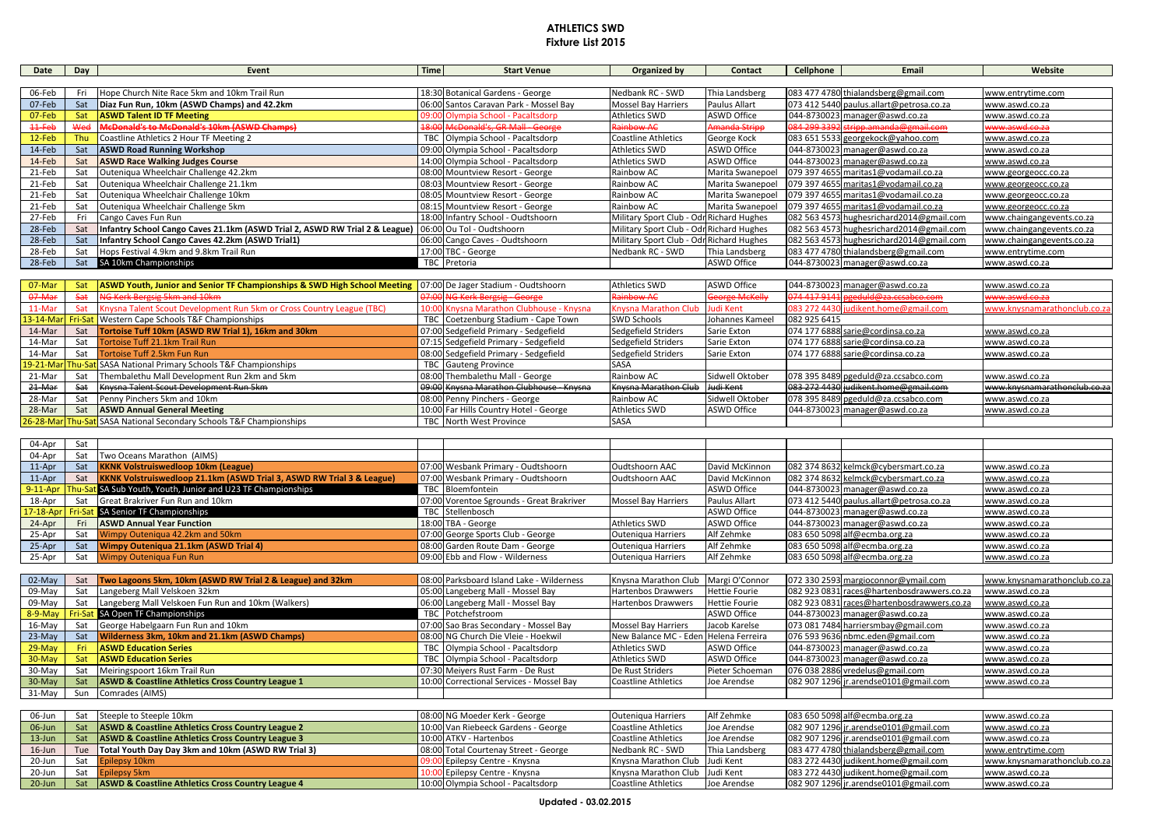## **ATHLETICS SWD Fixture List 2015**

| Date     | Day | Event                                                                                                   | <b>Time</b> | <b>Start Venue</b>                     | Organized by                             | Contact            | Cellphone | Email                                     | Website                   |
|----------|-----|---------------------------------------------------------------------------------------------------------|-------------|----------------------------------------|------------------------------------------|--------------------|-----------|-------------------------------------------|---------------------------|
|          |     |                                                                                                         |             |                                        |                                          |                    |           |                                           |                           |
| 06-Feb   | Fri | Hope Church Nite Race 5km and 10km Trail Run                                                            |             | 18:30 Botanical Gardens - George       | Nedbank RC - SWD                         | Thia Landsberg     |           | 083 477 4780 thialandsberg@gmail.com      | www.entrytime.com         |
| 07-Feb   | Sat | Diaz Fun Run, 10km (ASWD Champs) and 42.2km                                                             |             | 06:00 Santos Caravan Park - Mossel Bay | <b>Mossel Bay Harriers</b>               | Paulus Allart      |           | 073 412 5440 paulus.allart@petrosa.co.za  | www.aswd.co.za            |
| 07-Feb   | Sat | <b>ASWD Talent ID TF Meeting</b>                                                                        |             | 09:00 Olympia School - Pacaltsdorp     | <b>Athletics SWD</b>                     | <b>ASWD Office</b> |           | 044-8730023 manager@aswd.co.za            | www.aswd.co.za            |
| 11 Feb   | Wed | <b>McDonald's to McDonald's 10km (ASWD Champs)</b>                                                      |             | 18:00 McDonald's, GR Mall - George     | Rainbow AC                               | Amanda Stripp      |           | 084 299 3392 stripp.amanda@gmail.com      | www.aswd.co.za            |
| $12-Feb$ |     | Thu Coastline Athletics 2 Hour TF Meeting 2                                                             |             | TBC Olympia School - Pacaltsdorp       | <b>Coastline Athletics</b>               | George Kock        |           | 083 651 5533 georgekock@yahoo.com         | www.aswd.co.za            |
| 14-Feb   | Sat | <b>ASWD Road Running Workshop</b>                                                                       |             | 09:00 Olympia School - Pacaltsdorp     | <b>Athletics SWD</b>                     | ASWD Office        |           | 044-8730023 manager@aswd.co.za            | www.aswd.co.za            |
| 14-Feb   | Sat | <b>ASWD Race Walking Judges Course</b>                                                                  |             | 14:00 Olympia School - Pacaltsdorp     | <b>Athletics SWD</b>                     | <b>ASWD Office</b> |           | 044-8730023 manager@aswd.co.za            | www.aswd.co.za            |
| 21-Feb   | Sat | Outeniqua Wheelchair Challenge 42.2km                                                                   |             | 08:00 Mountview Resort - George        | Rainbow AC                               | Marita Swanepoel   |           | 079 397 4655 maritas1@vodamail.co.za      | www.georgeocc.co.za       |
| 21-Feb   | Sat | Outeniqua Wheelchair Challenge 21.1km                                                                   |             | 08:03 Mountview Resort - George        | Rainbow AC                               | Marita Swanepoel   |           | 079 397 4655 maritas1@vodamail.co.za      | www.georgeocc.co.za       |
| 21-Feb   | Sat | Outeniqua Wheelchair Challenge 10km                                                                     |             | 08:05 Mountview Resort - George        | Rainbow AC                               | Marita Swanepoel   |           | 079 397 4655 maritas1@vodamail.co.za      | www.georgeocc.co.za       |
| 21-Feb   | Sat | Outeniqua Wheelchair Challenge 5km                                                                      |             | 08:15 Mountview Resort - George        | Rainbow AC                               | Marita Swanepoel   |           | 079 397 4655 maritas1@vodamail.co.za      | www.georgeocc.co.za       |
| 27-Feb   |     | Cango Caves Fun Run                                                                                     |             | 18:00 Infantry School - Oudtshoorn     | Military Sport Club - Odr Richard Hughes |                    |           | 082 563 4573 hughesrichard2014@gmail.com  | www.chaingangevents.co.za |
| 28-Feb   | Sat | Infantry School Cango Caves 21.1km (ASWD Trial 2, ASWD RW Trial 2 & League)   06:00 Ou Tol - Oudtshoorn |             |                                        | Military Sport Club - Odr Richard Hughes |                    |           | 082 563 4573 hughesrichard2014@gmail.com  | www.chaingangevents.co.za |
| 28-Feb   | Sat | Infantry School Cango Caves 42.2km (ASWD Trial1)                                                        |             | 06:00 Cango Caves - Oudtshoorn         | Military Sport Club - Odr Richard Hughes |                    |           | 082 563 4573 hughesrichard 2014@gmail.com | www.chaingangevents.co.za |
| 28-Feb   | Sat | Hops Festival 4.9km and 9.8km Trail Run                                                                 |             | 17:00 TBC - George                     | Nedbank RC - SWD                         | Thia Landsberg     |           | 083 477 4780 thialandsberg@gmail.com      | www.entrytime.com         |
| 28-Feb   | Sat | SA 10km Championships                                                                                   |             | TBC Pretoria                           |                                          | <b>ASWD Office</b> |           | 044-8730023 manager@aswd.co.za            | www.aswd.co.za            |

| 07-Mar |     | ASWD Youth, Junior and Senior TF Championships & SWD High School Meeting 07:00 De Jager Stadium - Oudtshoorn |                                          | <b>Athletics SWD</b>           | <b>ASWD Office</b>    |              | 044-8730023 manager@aswd.co.za       | www.aswd.co.za               |
|--------|-----|--------------------------------------------------------------------------------------------------------------|------------------------------------------|--------------------------------|-----------------------|--------------|--------------------------------------|------------------------------|
| 07-Mar |     | NG Kerk Bergsig 5km and 10km                                                                                 | 07:00 NG Kerk Bergsig George             | <b>Rainbow AC</b>              | <b>George McKelly</b> |              | 074 417 9141 pgeduld@za.ccsabco.com  | www.aswd.co.za               |
| 11-Mar |     | Knysna Talent Scout Development Run 5km or Cross Country League (TBC)                                        | 10:00 Knysna Marathon Clubhouse - Knysna | Knysna Marathon Club Judi Kent |                       |              | 083 272 4430 judikent.home@gmail.com | www.knysnamarathonclub.co.za |
|        |     | 13-14-Mar Fri-Sat Western Cape Schools T&F Championships                                                     | TBC Coetzenburg Stadium - Cape Town      | <b>SWD Schools</b>             | Johannes Kameel       | 082 925 6415 |                                      |                              |
| 14-Mar | Sat | Tortoise Tuff 10km (ASWD RW Trial 1), 16km and 30km                                                          | 07:00 Sedgefield Primary - Sedgefield    | Sedgefield Striders            | Sarie Exton           |              | 074 177 6888 sarie@cordinsa.co.za    | www.aswd.co.za               |
| 14-Mar | Sat | Tortoise Tuff 21.1km Trail Run                                                                               | 07:15 Sedgefield Primary - Sedgefield    | Sedgefield Striders            | Sarie Exton           |              | 074 177 6888 sarie@cordinsa.co.za    | www.aswd.co.za               |
| 14-Mar | Sat | Tortoise Tuff 2.5km Fun Run                                                                                  | 08:00 Sedgefield Primary - Sedgefield    | Sedgefield Striders            | Sarie Exton           |              | 074 177 6888 sarie@cordinsa.co.za    | www.aswd.co.za               |
|        |     | 19-21-Mar Thu-Sat SASA National Primary Schools T&F Championships                                            | <b>TBC</b> Gauteng Province              | SASA                           |                       |              |                                      |                              |
| 21-Mar | Sat | Thembalethu Mall Development Run 2km and 5km                                                                 | 08:00 Thembalethu Mall - George          | Rainbow AC                     | Sidwell Oktober       |              | 078 395 8489 pgeduld@za.ccsabco.com  | www.aswd.co.za               |
| 21-Mar | Sat | Knysna Talent Scout Development Run 5km                                                                      | 09:00 Knysna Marathon Clubhouse - Knysna | Knysna Marathon Club           | Judi Kent             |              | 083 272 4430 judikent.home@gmail.com | www.knysnamarathonclub.co.za |
| 28-Mar |     | Penny Pinchers 5km and 10km                                                                                  | 08:00 Penny Pinchers - George            | Rainbow AC                     | Sidwell Oktober       |              | 078 395 8489 pgeduld@za.ccsabco.com  | www.aswd.co.za               |
| 28-Mar | Sat | <b>ASWD Annual General Meeting</b>                                                                           | 10:00 Far Hills Country Hotel - George   | <b>Athletics SWD</b>           | ASWD Office           |              | 044-8730023 manager@aswd.co.za       | www.aswd.co.za               |
|        |     | 26-28-Mar Thu-Sat SASA National Secondary Schools T&F Championships                                          | <b>TBC</b> North West Province           | <b>SASA</b>                    |                       |              |                                      |                              |

| 04-Apr         | Sat |                                                                                  |                                           |                            |                    |                                          |                |
|----------------|-----|----------------------------------------------------------------------------------|-------------------------------------------|----------------------------|--------------------|------------------------------------------|----------------|
| 04-Apr         | Sat | Two Oceans Marathon (AIMS)                                                       |                                           |                            |                    |                                          |                |
| $11$ -Apr      | Sat | <b>KKNK Volstruiswedloop 10km (League)</b>                                       | 07:00 Wesbank Primary - Oudtshoorn        | Oudtshoorn AAC             | David McKinnon     | 082 374 8632 kelmck@cybersmart.co.za     | www.aswd.co.za |
| $11-Apr$       | Sat | <b>KKNK Volstruiswedloop 21.1km (ASWD Trial 3, ASWD RW Trial 3 &amp; League)</b> | 07:00 Wesbank Primary - Oudtshoorn        | Oudtshoorn AAC             | David McKinnon     | 082 374 8632 kelmck@cybersmart.co.za     | www.aswd.co.za |
| $9-11$ -Apr Th |     | at SA Sub Youth, Youth, Junior and U23 TF Championships                          | TBC Bloemfontein                          |                            | <b>ASWD Office</b> | 044-8730023 manager@aswd.co.za           | www.aswd.co.za |
| 18-Apr         | Sat | Great Brakriver Fun Run and 10km                                                 | 07:00 Vorentoe Sgrounds - Great Brakriver | <b>Mossel Bay Harriers</b> | Paulus Allart      | 073 412 5440 paulus.allart@petrosa.co.za | www.aswd.co.za |
| $17-18$ -Apr   |     | at SA Senior TF Championships                                                    | TBC Stellenbosch                          |                            | <b>ASWD Office</b> | 044-8730023 manager@aswd.co.za           | www.aswd.co.za |
| 24-Apr         | Fri | <b>ASWD Annual Year Function</b>                                                 | 18:00 TBA - George                        | Athletics SWD              | <b>ASWD Office</b> | 044-8730023 manager@aswd.co.za           | www.aswd.co.za |
| 25-Apr         | Sat | Wimpy Outeniqua 42.2km and 50km                                                  | 07:00 George Sports Club - George         | <b>Outeniqua Harriers</b>  | Alf Zehmke         | 083 650 5098 alf@ecmba.org.za            | www.aswd.co.za |
| 25-Apr         | Sat | Wimpy Outeniqua 21.1km (ASWD Trial 4)                                            | 08:00 Garden Route Dam - George           | <b>Outeniqua Harriers</b>  | Alf Zehmke         | 083 650 5098 alf@ecmba.org.za            | www.aswd.co.za |
| 25-Apr         | Sat | Wimpy Outeniqua Fun Run                                                          | 09:00 Ebb and Flow - Wilderness           | Outeniqua Harriers         | Alf Zehmke         | 083 650 5098 alf@ecmba.org.za            | www.aswd.co.za |

| $02$ -May | Sat | Two Lagoons 5km, 10km (ASWD RW Trial 2 & League) and 32km | 08:00 Parksboard Island Lake - Wilderness | Knysna Marathon Club   Margi O'Connor |                      | 072 330 2593 margioconnor@ymail.com        | www.knysnamarathonclub.co.za |
|-----------|-----|-----------------------------------------------------------|-------------------------------------------|---------------------------------------|----------------------|--------------------------------------------|------------------------------|
| 09-May    | Sat | Langeberg Mall Velskoen 32km                              | 05:00 Langeberg Mall - Mossel Bay         | Hartenbos Drawwers                    | <b>Hettie Fourie</b> | 082 923 0831 races@hartenbosdrawwers.co.za | www.aswd.co.za               |
| $09$ -May | Sat | Langeberg Mall Velskoen Fun Run and 10km (Walkers)        | 06:00 Langeberg Mall - Mossel Bay         | <b>Hartenbos Drawwers</b>             | <b>Hettie Fourie</b> | 082 923 0831 races@hartenbosdrawwers.co.za | www.aswd.co.za               |
|           |     | 8-9-May Fri-Sat SA Open TF Championships                  | TBC Potchefstroom                         |                                       | ASWD Office          | 044-8730023 manager@aswd.co.za             | www.aswd.co.za               |
| $16$ -May | Sat | George Habelgaarn Fun Run and 10km                        | 07:00 Sao Bras Secondary - Mossel Bay     | <b>Mossel Bay Harriers</b>            | Jacob Karelse        | 073 081 7484 harriersmbay@gmail.com        | www.aswd.co.za               |
| $23-May$  | Sat | Wilderness 3km, 10km and 21.1km (ASWD Champs)             | 08:00 NG Church Die Vleie - Hoekwil       | New Balance MC - Eden Helena Ferreira |                      | 076 593 9636 nbmc.eden@gmail.com           | www.aswd.co.za               |
| $29-May$  | Fri | <b>ASWD Education Series</b>                              | TBC Olympia School - Pacaltsdorp          | Athletics SWD                         | <b>ASWD Office</b>   | 044-8730023 manager@aswd.co.za             | www.aswd.co.za               |
| $30$ -May | Sat | <b>ASWD Education Series</b>                              | TBC Olympia School - Pacaltsdorp          | Athletics SWD                         | <b>ASWD Office</b>   | 044-8730023 manager@aswd.co.za             | www.aswd.co.za               |
| 30-May    | Sat | Meiringspoort 16km Trail Run                              | 07:30 Meivers Rust Farm - De Rust         | De Rust Striders                      | Pieter Schoeman      | 076 038 2886 vredelus@gmail.com            | www.aswd.co.za               |
| $30-May$  | Sat | ASWD & Coastline Athletics Cross Country League 1         | 10:00 Correctional Services - Mossel Bay  | Coastline Athletics                   | Joe Arendse          | 082 907 1296 jr.arendse0101@gmail.com      | www.aswd.co.za               |
| 31-May    | Sun | Comrades (AIMS)                                           |                                           |                                       |                      |                                            |                              |

| $06$ -Jun |     | Sat Steeple to Steeple 10km                           | 08:00 NG Moeder Kerk - George         | Outeniqua Harriers             | Alf Zehmke     | 083 650 5098 alf@ecmba.org.za         | www.aswd.co.za               |
|-----------|-----|-------------------------------------------------------|---------------------------------------|--------------------------------|----------------|---------------------------------------|------------------------------|
| 06-Jun    | Sat | ASWD & Coastline Athletics Cross Country League 2     | 10:00 Van Riebeeck Gardens - George   | Coastline Athletics            | Joe Arendse    | 082 907 1296 jr.arendse0101@gmail.com | www.aswd.co.za               |
| $13$ -Jun | Sat | ASWD & Coastline Athletics Cross Country League 3     | 10:00 ATKV - Hartenbos                | Coastline Athletics            | Joe Arendse    | 082 907 1296 jr.arendse0101@gmail.com | www.aswd.co.za               |
| $16$ -Jun | Tue | Total Youth Day Day 3km and 10km (ASWD RW Trial 3)    | 08:00 Total Courtenay Street - George | Nedbank RC - SWD               | Thia Landsberg | 083 477 4780 thialandsberg@gmail.com  | www.entrytime.com            |
| 20-Jun    |     | Sat Epilepsy 10km                                     | 00 Epilepsy Centre - Knysna           | Knysna Marathon Club Judi Kent |                | 083 272 4430 judikent.home@gmail.com  | www.knysnamarathonclub.co.za |
| $20$ -Jun |     | Sat Epilepsy 5km                                      | 00 Epilepsy Centre - Knysna           | Knysna Marathon Club Judi Kent |                | 083 272 4430 judikent.home@gmail.com  | www.aswd.co.za               |
| 20-Jun    |     | Sat ASWD & Coastline Athletics Cross Country League 4 | 10:00 Olympia School - Pacaltsdorp    | Coastline Athletics            | Joe Arendse    | 082 907 1296 jr.arendse0101@gmail.com | www.aswd.co.za               |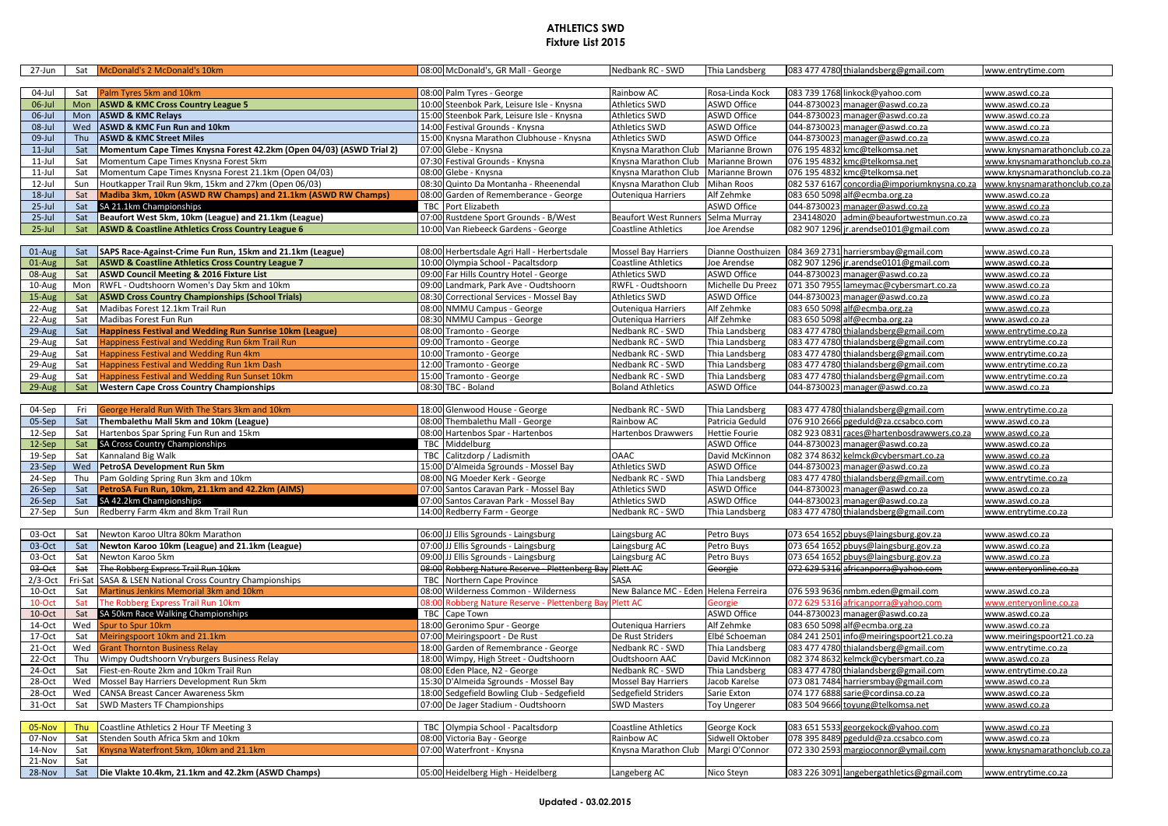## **ATHLETICS SWD Fixture List 2015**

| 27-Jun               |                | Sat McDonald's 2 McDonald's 10km                                                           |       | 08:00 McDonald's, GR Mall - George                                 | Nedbank RC - SWD                      | Thia Landsberg       |              | 083 477 4780 thialandsberg@gmail.com   | www.entrytime.com            |
|----------------------|----------------|--------------------------------------------------------------------------------------------|-------|--------------------------------------------------------------------|---------------------------------------|----------------------|--------------|----------------------------------------|------------------------------|
| 04-Jul               | Sat            | Palm Tyres 5km and 10km                                                                    |       | 08:00 Palm Tyres - George                                          | Rainbow AC                            | Rosa-Linda Kock      |              | 083 739 1768 linkock@yahoo.com         | www.aswd.co.za               |
| 06-Jul               | Mon            | <b>ASWD &amp; KMC Cross Country League 5</b>                                               |       | 10:00 Steenbok Park, Leisure Isle - Knysna                         | <b>Athletics SWD</b>                  | <b>ASWD Office</b>   |              | 044-8730023 manager@aswd.co.za         | www.aswd.co.za               |
| 06-Jul               | Mon            | <b>ASWD &amp; KMC Relays</b>                                                               |       | 15:00 Steenbok Park, Leisure Isle - Knysna                         | <b>Athletics SWD</b>                  | <b>ASWD Office</b>   | 044-8730023  | manager@aswd.co.za                     | www.aswd.co.za               |
| $08$ -Jul            | Wed            | ASWD & KMC Fun Run and 10km                                                                |       | 14:00 Festival Grounds - Knysna                                    | <b>Athletics SWD</b>                  | <b>ASWD Office</b>   | 044-8730023  | manager@aswd.co.za                     | www.aswd.co.za               |
| 09-Jul               | Thu            | <b>ASWD &amp; KMC Street Miles</b>                                                         |       | 15:00 Knysna Marathon Clubhouse - Knysna                           | <b>Athletics SWD</b>                  | <b>ASWD Office</b>   | 044-8730023  | manager@aswd.co.za                     | www.aswd.co.za               |
| $11$ -Jul            | Sat            | Momentum Cape Times Knysna Forest 42.2km (Open 04/03) (ASWD Trial 2)                       |       | 07:00 Glebe - Knysna                                               | Knysna Marathon Club                  | Marianne Brown       | 076 195 4832 | kmc@telkomsa.net                       | www.knysnamarathonclub.co.za |
| $11$ -Jul            | Sat            | Momentum Cape Times Knysna Forest 5km                                                      |       | 07:30 Festival Grounds - Knysna                                    | Knysna Marathon Club Marianne Brown   |                      |              | 076 195 4832 kmc@telkomsa.net          | www.knysnamarathonclub.co.za |
| $11$ -Jul            | Sat            | Momentum Cape Times Knysna Forest 21.1km (Open 04/03)                                      |       | 08:00 Glebe - Knysna                                               | Knysna Marathon Club                  | Marianne Brown       |              | 076 195 4832 kmc@telkomsa.net          | www.knysnamarathonclub.co.z  |
| 12-Jul               | Sun            | Houtkapper Trail Run 9km, 15km and 27km (Open 06/03)                                       |       | 08:30 Quinto Da Montanha - Rheenendal                              | Knysna Marathon Club Mihan Roos       |                      | 082 537 6167 | concordia@imporiumknysna.co.za         | www.knysnamarathonclub.co.za |
| $18$ -Jul            | Sat            | Madiba 3km, 10km (ASWD RW Champs) and 21.1km (ASWD RW Champs)                              |       | 08:00 Garden of Rememberance - George                              | Outeniqua Harriers                    | Alf Zehmke           | 083 650 5098 | alf@ecmba.org.za                       | www.aswd.co.za               |
| $25$ -Jul            | Sat            | SA 21.1km Championships                                                                    |       | <b>TBC</b> Port Elizabeth                                          |                                       | ASWD Office          | 044-8730023  | manager@aswd.co.za                     | www.aswd.co.za               |
| $25$ -Jul            | Sat            | Beaufort West 5km, 10km (League) and 21.1km (League)                                       |       | 07:00 Rustdene Sport Grounds - B/West                              | Beaufort West Runners Selma Murray    |                      | 234148020    | admin@beaufortwestmun.co.za            | www.aswd.co.za               |
| $25$ -Jul            | Sat            | <b>ASWD &amp; Coastline Athletics Cross Country League 6</b>                               |       | 10:00 Van Riebeeck Gardens - George                                | <b>Coastline Athletics</b>            | Joe Arendse          |              | 082 907 1296 jr.arendse0101@gmail.com  | www.aswd.co.za               |
|                      |                |                                                                                            |       |                                                                    |                                       |                      |              |                                        |                              |
| 01-Aug               | Sat            | SAPS Race-Against-Crime Fun Run, 15km and 21.1km (League)                                  |       | 08:00 Herbertsdale Agri Hall - Herbertsdale                        | <b>Mossel Bay Harriers</b>            | Dianne Oosthuizen    |              | 084 369 2731 harriersmbay@gmail.com    | www.aswd.co.za               |
| 01-Aug               | Sat            | <b>ASWD &amp; Coastline Athletics Cross Country League 7</b>                               |       | 10:00 Olympia School - Pacaltsdorp                                 | Coastline Athletics                   | Joe Arendse          |              | 082 907 1296 jr.arendse0101@gmail.com  | www.aswd.co.za               |
| 08-Aug               | Sat            | <b>ASWD Council Meeting &amp; 2016 Fixture List</b>                                        |       | 09:00 Far Hills Country Hotel - George                             | <b>Athletics SWD</b>                  | <b>ASWD Office</b>   |              | 044-8730023 manager@aswd.co.za         | www.aswd.co.za               |
| 10-Aug               | Mon            | RWFL - Oudtshoorn Women's Day 5km and 10km                                                 |       | 09:00 Landmark, Park Ave - Oudtshoorn                              | RWFL - Oudtshoorn                     | Michelle Du Preez    |              | 071 350 7955 lameymac@cybersmart.co.za | www.aswd.co.za               |
| 15-Aug               | Sat            | <b>ASWD Cross Country Championships (School Trials)</b>                                    |       | 08:30 Correctional Services - Mossel Bay                           | <b>Athletics SWD</b>                  | <b>ASWD Office</b>   | 044-8730023  | manager@aswd.co.za                     | www.aswd.co.za               |
| 22-Aug               | Sat            | Madibas Forest 12.1km Trail Run                                                            |       | 08:00 NMMU Campus - George                                         | Outeniqua Harriers                    | Alf Zehmke           | 083 650 5098 | alf@ecmba.org.za                       | www.aswd.co.za               |
| 22-Aug               | Sat            | Madibas Forest Fun Run                                                                     |       | 08:30 NMMU Campus - George                                         | Outeniqua Harriers                    | Alf Zehmke           | 083 650 5098 | alf@ecmba.org.za                       | www.aswd.co.za               |
| 29-Aug               | Sat            | Happiness Festival and Wedding Run Sunrise 10km (League)                                   |       | 08:00 Tramonto - George                                            | Nedbank RC - SWD                      | Thia Landsberg       |              | 083 477 4780 thialandsberg@gmail.com   | www.entrytime.co.za          |
| 29-Aug               | Sat            | Happiness Festival and Wedding Run 6km Trail Run                                           |       | 09:00 Tramonto - George                                            | <b>Nedbank RC - SWD</b>               | Thia Landsberg       |              | 083 477 4780 thialandsberg@gmail.com   | www.entrytime.co.za          |
| 29-Aug               | Sat            | Happiness Festival and Wedding Run 4km                                                     |       | 10:00 Tramonto - George                                            | <b>Nedbank RC - SWD</b>               | Thia Landsberg       |              | 083 477 4780 thialandsberg@gmail.com   | www.entrytime.co.za          |
| 29-Aug               | Sat            | Happiness Festival and Wedding Run 1km Dash                                                |       | 12:00 Tramonto - George                                            | <b>Nedbank RC - SWD</b>               | Thia Landsberg       |              | 083 477 4780 thialandsberg@gmail.com   | www.entrytime.co.za          |
| 29-Aug               | Sat            | Happiness Festival and Wedding Run Sunset 10km                                             |       | 15:00 Tramonto - George                                            | Nedbank RC - SWD                      | Thia Landsberg       | 083 477 4780 | thialandsberg@gmail.com                | www.entrytime.co.za          |
| 29-Aug               | Sat            | <b>Western Cape Cross Country Championships</b>                                            |       | 08:30 TBC - Boland                                                 | <b>Boland Athletics</b>               | ASWD Office          |              | 044-8730023 manager@aswd.co.za         | www.aswd.co.za               |
|                      |                |                                                                                            |       |                                                                    |                                       |                      |              |                                        |                              |
| 04-Sep               | Fri            | George Herald Run With The Stars 3km and 10km                                              |       | 18:00 Glenwood House - George                                      | Nedbank RC - SWD                      | Thia Landsberg       |              | 083 477 4780 thialandsberg@gmail.com   | www.entrytime.co.za          |
| 05-Sep               | Sat            | Thembalethu Mall 5km and 10km (League)                                                     |       | 08:00 Thembalethu Mall - George                                    | Rainbow AC                            | Patricia Geduld      | 076 910 2666 | pgeduld@za.ccsabco.com                 | www.aswd.co.za               |
| 12-Sep               | Sat            | Hartenbos Spar Spring Fun Run and 15km                                                     |       | 08:00 Hartenbos Spar - Hartenbos                                   | Hartenbos Drawwers                    | <b>Hettie Fourie</b> | 082 923 0831 | races@hartenbosdrawwers.co.za          | www.aswd.co.za               |
| 12-Sep               | Sat            | SA Cross Country Championships                                                             |       | TBC Middelburg                                                     |                                       | ASWD Office          |              | 044-8730023 manager@aswd.co.za         | www.aswd.co.za               |
| 19-Sep               | Sat            | Kannaland Big Walk                                                                         |       | TBC Calitzdorp / Ladismith                                         | <b>OAAC</b>                           | David McKinnon       |              | 082 374 8632 kelmck@cybersmart.co.za   | www.aswd.co.za               |
| 23-Sep               | Wed            | PetroSA Development Run 5km                                                                |       | 15:00 D'Almeida Sgrounds - Mossel Bay                              | <b>Athletics SWD</b>                  | <b>ASWD Office</b>   | 044-8730023  | manager@aswd.co.za                     | www.aswd.co.za               |
| 24-Sep               | Thu            | Pam Golding Spring Run 3km and 10km                                                        |       | 08:00 NG Moeder Kerk - George                                      | Nedbank RC - SWD                      | Thia Landsberg       | 083 477 4780 | thialandsberg@gmail.com                | www.entrytime.co.za          |
| 26-Sep               | Sat            | PetroSA Fun Run, 10km, 21.1km and 42.2km (AIMS)                                            |       | 07:00 Santos Caravan Park - Mossel Bay                             | <b>Athletics SWD</b>                  | <b>ASWD Office</b>   | 044-8730023  | manager@aswd.co.za                     | www.aswd.co.za               |
| 26-Sep               | Sat            | SA 42.2km Championships                                                                    |       | 07:00 Santos Caravan Park - Mossel Bay                             | <b>Athletics SWD</b>                  | <b>ASWD Office</b>   |              | 044-8730023 manager@aswd.co.za         | www.aswd.co.za               |
| 27-Sep               | Sun            | Redberry Farm 4km and 8km Trail Run                                                        |       | 14:00 Redberry Farm - George                                       | Nedbank RC - SWD                      | Thia Landsberg       |              | 083 477 4780 thialandsberg@gmail.com   | www.entrytime.co.za          |
|                      |                |                                                                                            |       |                                                                    |                                       |                      |              |                                        |                              |
| 03-Oct               | Sat            | Newton Karoo Ultra 80km Marathon                                                           |       | 06:00 JJ Ellis Sgrounds - Laingsburg                               | Laingsburg AC                         | Petro Buys           |              | 073 654 1652 pbuys@laingsburg.gov.za   | www.aswd.co.za               |
| 03-Oct               | Sat            | Newton Karoo 10km (League) and 21.1km (League)                                             |       | 07:00 JJ Ellis Sgrounds - Laingsburg                               | aingsburg AC                          | Petro Buys           | 073 654 1652 | pbuys@laingsburg.gov.za                | www.aswd.co.za               |
| 03-Oct               | Sat            | Newton Karoo 5km                                                                           |       | 09:00 JJ Ellis Sgrounds - Laingsburg                               | aingsburg AC                          | Petro Buys           |              | 073 654 1652 pbuys@laingsburg.gov.za   | www.aswd.co.za               |
| 03-Oct               | Sat<br>Fri-Sat | The Robberg Express Trail Run 10km                                                         |       | 08:00 Robberg Nature Reserve - Plettenberg Bay                     | Plett AC<br>SASA                      | Georgie              |              | 072 629 5316 africanporra@yahoo.com    | www.enteryonline.co.za       |
| $2/3$ -Oct<br>10-Oct | Sat            | SASA & LSEN National Cross Country Championships<br>Martinus Jenkins Memorial 3km and 10km |       | TBC Northern Cape Province<br>08:00 Wilderness Common - Wilderness | New Balance MC - Eden Helena Ferreira |                      |              | 076 593 9636 nmbm.eden@gmail.com       | www.aswd.co.za               |
| 10-Oct               | Sat            | The Robberg Express Trail Run 10km                                                         | 08:00 | Robberg Nature Reserve - Plettenberg Ba                            | lett AC                               | eorgie               | 172 629 531  | fricanporra@yahoo.com                  | www.enteryonline.co.za       |
| 10-Oct               | Sat            |                                                                                            |       | TBC Cape Town                                                      |                                       | <b>ASWD Office</b>   |              | 044-8730023 manager@aswd.co.za         | www.aswd.co.za               |
| 14-Oct               | Wed            | SA 50km Race Walking Championships<br>Spur to Spur 10km                                    |       | 18:00 Geronimo Spur - George                                       | Outeniqua Harriers                    | Alf Zehmke           |              | 083 650 5098 alf@ecmba.org.za          | www.aswd.co.za               |
| 17-Oct               | Sat            | Meiringspoort 10km and 21.1km                                                              |       | 07:00 Meiringspoort - De Rust                                      | De Rust Striders                      | Elbé Schoeman        | 084 241 2501 | info@meiringspoort21.co.za             | www.meiringspoort21.co.za    |
| 21-Oct               | Wed            | <b>Grant Thornton Business Relay</b>                                                       |       | 18:00 Garden of Remembrance - George                               | Nedbank RC - SWD                      | Thia Landsberg       | 083 477 4780 | thialandsberg@gmail.com                | www.entrytime.co.za          |
| 22-Oct               | Thu            | Wimpy Oudtshoorn Vryburgers Business Relay                                                 |       | 18:00 Wimpy, High Street - Oudtshoorn                              | Oudtshoorn AAC                        | David McKinnon       | 082 374 8632 | kelmck@cybersmart.co.za                | www.aswd.co.za               |
| 24-Oct               | Sat            | Fiest-en-Route 2km and 10km Trail Run                                                      |       | 08:00 Eden Place, N2 - George                                      | Nedbank RC - SWD                      | Thia Landsberg       |              | 083 477 4780 thialandsberg@gmail.com   | www.entrytime.co.za          |
| 28-Oct               | Wed            | Mossel Bay Harriers Development Run 5km                                                    |       | 15:30 D'Almeida Sgrounds - Mossel Bay                              | Mossel Bay Harriers                   | Jacob Karelse        |              | 073 081 7484 harriersmbay@gmail.com    | www.aswd.co.za               |
| 28-Oct               | Wed            | CANSA Breast Cancer Awareness 5km                                                          |       | 18:00 Sedgefield Bowling Club - Sedgefield                         | Sedgefield Striders                   | Sarie Exton          | 074 177 6888 | sarie@cordinsa.co.za                   | www.aswd.co.za               |
| 31-Oct               | Sat            | SWD Masters TF Championships                                                               |       | 07:00 De Jager Stadium - Oudtshoorn                                | <b>SWD Masters</b>                    | <b>Toy Ungerer</b>   | 083 504 9666 | toyung@telkomsa.net                    | www.aswd.co.za               |
|                      |                |                                                                                            |       |                                                                    |                                       |                      |              |                                        |                              |
| 05-Nov               | <b>Thu</b>     | Coastline Athletics 2 Hour TF Meeting 3                                                    |       | TBC Olympia School - Pacaltsdorp                                   | Coastline Athletics                   | George Kock          | 083 651 553  | georgekock@yahoo.com                   | www.aswd.co.za               |
| 07-Nov               | Sat            | Stenden South Africa 5km and 10km                                                          |       | 08:00 Victoria Bay - George                                        | Rainbow AC                            | Sidwell Oktober      | 078 395 8489 | pgeduld@za.ccsabco.com                 | www.aswd.co.za               |
| 14-Nov               | Sat            | nysna Waterfront 5km, 10km and 21.1km                                                      |       | 07:00 Waterfront - Knysna                                          | Knysna Marathon Club Margi O'Connor   |                      | 072 330 2593 | margioconnor@ymail.com                 | www.knysnamarathonclub.co.za |
| 21-Nov               | Sat            |                                                                                            |       |                                                                    |                                       |                      |              |                                        |                              |
|                      |                |                                                                                            |       |                                                                    |                                       |                      |              |                                        |                              |

28-Nov Sat **Die Vlakte 10.4km, 21.1km and 42.2km (ASWD Champs)** 05:00 Heidelberg High - Heidelberg Langeberg AC Nico Steyn 083 226 3091 [langebergathletics@gmail.com](mailto:langebergathletics@gmail.com) [www.entrytime.co.za](http://www.entrytime.co.za/)